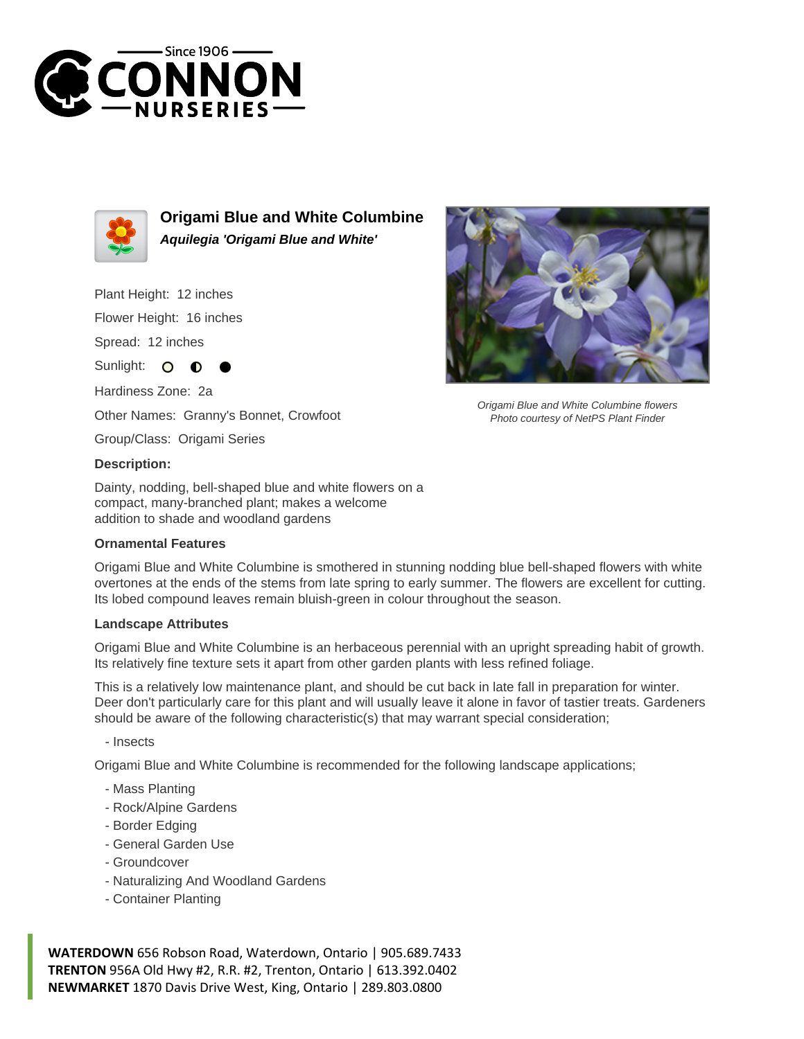



**Origami Blue and White Columbine Aquilegia 'Origami Blue and White'**

Plant Height: 12 inches

Flower Height: 16 inches

Spread: 12 inches

Sunlight: O ∩

Hardiness Zone: 2a Other Names: Granny's Bonnet, Crowfoot

Group/Class: Origami Series

## **Description:**

Dainty, nodding, bell-shaped blue and white flowers on a compact, many-branched plant; makes a welcome addition to shade and woodland gardens

## **Ornamental Features**

Origami Blue and White Columbine is smothered in stunning nodding blue bell-shaped flowers with white overtones at the ends of the stems from late spring to early summer. The flowers are excellent for cutting. Its lobed compound leaves remain bluish-green in colour throughout the season.

## **Landscape Attributes**

Origami Blue and White Columbine is an herbaceous perennial with an upright spreading habit of growth. Its relatively fine texture sets it apart from other garden plants with less refined foliage.

This is a relatively low maintenance plant, and should be cut back in late fall in preparation for winter. Deer don't particularly care for this plant and will usually leave it alone in favor of tastier treats. Gardeners should be aware of the following characteristic(s) that may warrant special consideration;

- Insects

Origami Blue and White Columbine is recommended for the following landscape applications;

- Mass Planting
- Rock/Alpine Gardens
- Border Edging
- General Garden Use
- Groundcover
- Naturalizing And Woodland Gardens
- Container Planting

**WATERDOWN** 656 Robson Road, Waterdown, Ontario | 905.689.7433 **TRENTON** 956A Old Hwy #2, R.R. #2, Trenton, Ontario | 613.392.0402 **NEWMARKET** 1870 Davis Drive West, King, Ontario | 289.803.0800



Origami Blue and White Columbine flowers Photo courtesy of NetPS Plant Finder